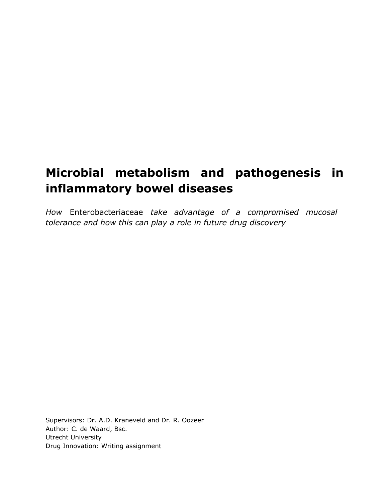# **Microbial metabolism and pathogenesis in inflammatory bowel diseases**

*How* Enterobacteriaceae *take advantage of a compromised mucosal tolerance and how this can play a role in future drug discovery*

Supervisors: Dr. A.D. Kraneveld and Dr. R. Oozeer Author: C. de Waard, Bsc. Utrecht University Drug Innovation: Writing assignment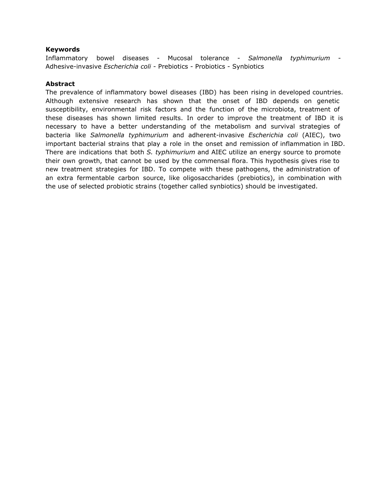## **Keywords**

Inflammatory bowel diseases - Mucosal tolerance - *Salmonella typhimurium* - Adhesive-invasive *Escherichia coli* - Prebiotics - Probiotics - Synbiotics

#### **Abstract**

The prevalence of inflammatory bowel diseases (IBD) has been rising in developed countries. Although extensive research has shown that the onset of IBD depends on genetic susceptibility, environmental risk factors and the function of the microbiota, treatment of these diseases has shown limited results. In order to improve the treatment of IBD it is necessary to have a better understanding of the metabolism and survival strategies of bacteria like *Salmonella typhimurium* and adherent-invasive *Escherichia coli* (AIEC), two important bacterial strains that play a role in the onset and remission of inflammation in IBD. There are indications that both *S. typhimurium* and AIEC utilize an energy source to promote their own growth, that cannot be used by the commensal flora. This hypothesis gives rise to new treatment strategies for IBD. To compete with these pathogens, the administration of an extra fermentable carbon source, like oligosaccharides (prebiotics), in combination with the use of selected probiotic strains (together called synbiotics) should be investigated.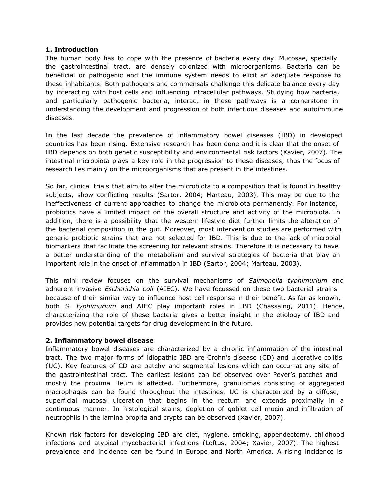#### **1. Introduction**

The human body has to cope with the presence of bacteria every day. Mucosae, specially the gastrointestinal tract, are densely colonized with microorganisms. Bacteria can be beneficial or pathogenic and the immune system needs to elicit an adequate response to these inhabitants. Both pathogens and commensals challenge this delicate balance every day by interacting with host cells and influencing intracellular pathways. Studying how bacteria, and particularly pathogenic bacteria, interact in these pathways is a cornerstone in understanding the development and progression of both infectious diseases and autoimmune diseases.

In the last decade the prevalence of inflammatory bowel diseases (IBD) in developed countries has been rising. Extensive research has been done and it is clear that the onset of IBD depends on both genetic susceptibility and environmental risk factors (Xavier, 2007). The intestinal microbiota plays a key role in the progression to these diseases, thus the focus of research lies mainly on the microorganisms that are present in the intestines.

So far, clinical trials that aim to alter the microbiota to a composition that is found in healthy subjects, show conflicting results (Sartor, 2004; Marteau, 2003). This may be due to the ineffectiveness of current approaches to change the microbiota permanently. For instance, probiotics have a limited impact on the overall structure and activity of the microbiota. In addition, there is a possibility that the western-lifestyle diet further limits the alteration of the bacterial composition in the gut. Moreover, most intervention studies are performed with generic probiotic strains that are not selected for IBD. This is due to the lack of microbial biomarkers that facilitate the screening for relevant strains. Therefore it is necessary to have a better understanding of the metabolism and survival strategies of bacteria that play an important role in the onset of inflammation in IBD (Sartor, 2004; Marteau, 2003).

This mini review focuses on the survival mechanisms of *Salmonella typhimurium* and adherent-invasive *Escherichia coli* (AIEC). We have focussed on these two bacterial strains because of their similar way to influence host cell response in their benefit. As far as known, both *S. typhimurium* and AIEC play important roles in IBD (Chassaing, 2011). Hence, characterizing the role of these bacteria gives a better insight in the etiology of IBD and provides new potential targets for drug development in the future.

## **2. Inflammatory bowel disease**

Inflammatory bowel diseases are characterized by a chronic inflammation of the intestinal tract. The two major forms of idiopathic IBD are Crohn's disease (CD) and ulcerative colitis (UC). Key features of CD are patchy and segmental lesions which can occur at any site of the gastrointestinal tract. The earliest lesions can be observed over Peyer's patches and mostly the proximal ileum is affected. Furthermore, granulomas consisting of aggregated macrophages can be found throughout the intestines. UC is characterized by a diffuse, superficial mucosal ulceration that begins in the rectum and extends proximally in a continuous manner. In histological stains, depletion of goblet cell mucin and infiltration of neutrophils in the lamina propria and crypts can be observed (Xavier, 2007).

Known risk factors for developing IBD are diet, hygiene, smoking, appendectomy, childhood infections and atypical mycobacterial infections (Loftus, 2004; Xavier, 2007). The highest prevalence and incidence can be found in Europe and North America. A rising incidence is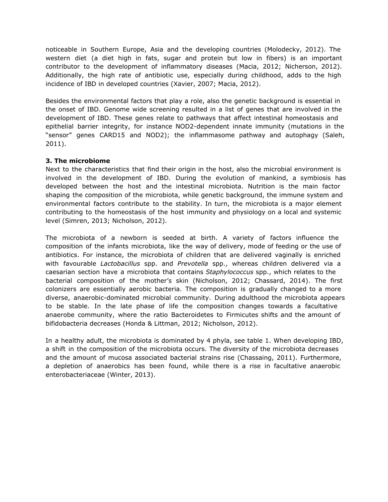noticeable in Southern Europe, Asia and the developing countries (Molodecky, 2012). The western diet (a diet high in fats, sugar and protein but low in fibers) is an important contributor to the development of inflammatory diseases (Macia, 2012; Nicherson, 2012). Additionally, the high rate of antibiotic use, especially during childhood, adds to the high incidence of IBD in developed countries (Xavier, 2007; Macia, 2012).

Besides the environmental factors that play a role, also the genetic background is essential in the onset of IBD. Genome wide screening resulted in a list of genes that are involved in the development of IBD. These genes relate to pathways that affect intestinal homeostasis and epithelial barrier integrity, for instance NOD2-dependent innate immunity (mutations in the "sensor" genes CARD15 and NOD2); the inflammasome pathway and autophagy (Saleh, 2011).

## **3. The microbiome**

Next to the characteristics that find their origin in the host, also the microbial environment is involved in the development of IBD. During the evolution of mankind, a symbiosis has developed between the host and the intestinal microbiota. Nutrition is the main factor shaping the composition of the microbiota, while genetic background, the immune system and environmental factors contribute to the stability. In turn, the microbiota is a major element contributing to the homeostasis of the host immunity and physiology on a local and systemic level (Simren, 2013; Nicholson, 2012).

The microbiota of a newborn is seeded at birth. A variety of factors influence the composition of the infants microbiota, like the way of delivery, mode of feeding or the use of antibiotics. For instance, the microbiota of children that are delivered vaginally is enriched with favourable *Lactobacillus* spp. and *Prevotella* spp., whereas children delivered via a caesarian section have a microbiota that contains *Staphylococcus* spp., which relates to the bacterial composition of the mother's skin (Nicholson, 2012; Chassard, 2014). The first colonizers are essentially aerobic bacteria. The composition is gradually changed to a more diverse, anaerobic-dominated microbial community. During adulthood the microbiota appears to be stable. In the late phase of life the composition changes towards a facultative anaerobe community, where the ratio Bacteroidetes to Firmicutes shifts and the amount of bifidobacteria decreases (Honda & Littman, 2012; Nicholson, 2012).

In a healthy adult, the microbiota is dominated by 4 phyla, see table 1. When developing IBD, a shift in the composition of the microbiota occurs. The diversity of the microbiota decreases and the amount of mucosa associated bacterial strains rise (Chassaing, 2011). Furthermore, a depletion of anaerobics has been found, while there is a rise in facultative anaerobic enterobacteriaceae (Winter, 2013).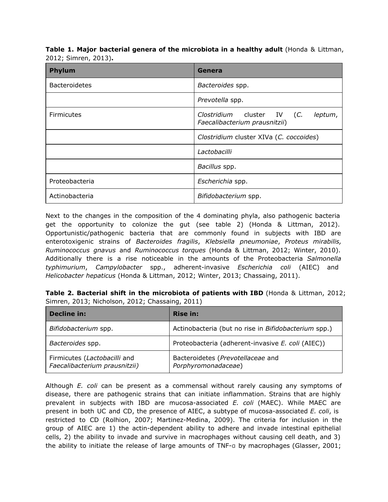**Table 1. Major bacterial genera of the microbiota in a healthy adult** (Honda & Littman, 2012; Simren, 2013)**.**

| <b>Phylum</b>        | Genera                                                                 |
|----------------------|------------------------------------------------------------------------|
| <b>Bacteroidetes</b> | Bacteroides spp.                                                       |
|                      | Prevotella spp.                                                        |
| <b>Firmicutes</b>    | Clostridium cluster IV (C.<br>leptum,<br>Faecalibacterium prausnitzii) |
|                      | Clostridium cluster XIVa (C. coccoides)                                |
|                      | Lactobacilli                                                           |
|                      | Bacillus spp.                                                          |
| Proteobacteria       | Escherichia spp.                                                       |
| Actinobacteria       | Bifidobacterium spp.                                                   |

Next to the changes in the composition of the 4 dominating phyla, also pathogenic bacteria get the opportunity to colonize the gut (see table 2) (Honda & Littman, 2012). Opportunistic/pathogenic bacteria that are commonly found in subjects with IBD are enterotoxigenic strains of *Bacteroides fragilis*, *Klebsiella pneumoniae*, *Proteus mirabilis, Ruminococcus gnavus* and *Ruminococcus torques* (Honda & Littman, 2012; Winter, 2010). Additionally there is a rise noticeable in the amounts of the Proteobacteria *Salmonella typhimurium*, *Campylobacter* spp., adherent-invasive *Escherichia coli* (AIEC) and *Helicobacter hepaticus* (Honda & Littman, 2012; Winter, 2013; Chassaing, 2011).

| Table 2. Bacterial shift in the microbiota of patients with IBD (Honda & Littman, 2012; |  |  |  |  |
|-----------------------------------------------------------------------------------------|--|--|--|--|
| Simren, 2013; Nicholson, 2012; Chassaing, 2011)                                         |  |  |  |  |

| Decline in:                                                   | <b>Rise in:</b>                                          |  |  |  |  |
|---------------------------------------------------------------|----------------------------------------------------------|--|--|--|--|
| Bifidobacterium spp.                                          | Actinobacteria (but no rise in Bifidobacterium spp.)     |  |  |  |  |
| Bacteroides spp.                                              | Proteobacteria (adherent-invasive E. coli (AIEC))        |  |  |  |  |
| Firmicutes (Lactobacilli and<br>Faecalibacterium prausnitzii) | Bacteroidetes (Prevotellaceae and<br>Porphyromonadaceae) |  |  |  |  |

Although *E. coli* can be present as a commensal without rarely causing any symptoms of disease, there are pathogenic strains that can initiate inflammation. Strains that are highly prevalent in subjects with IBD are mucosa-associated *E. coli* (MAEC). While MAEC are present in both UC and CD, the presence of AIEC, a subtype of mucosa-associated *E. coli*, is restricted to CD (Rolhion, 2007; Martinez-Medina, 2009). The criteria for inclusion in the group of AIEC are 1) the actin-dependent ability to adhere and invade intestinal epithelial cells, 2) the ability to invade and survive in macrophages without causing cell death, and 3) the ability to initiate the release of large amounts of TNF-α by macrophages (Glasser, 2001;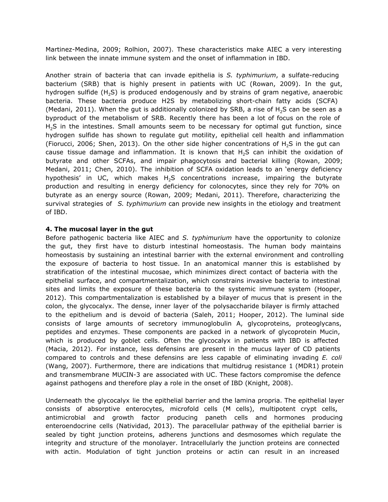Martinez-Medina, 2009; Rolhion, 2007). These characteristics make AIEC a very interesting link between the innate immune system and the onset of inflammation in IBD.

Another strain of bacteria that can invade epithelia is *S. typhimurium*, a sulfate-reducing bacterium (SRB) that is highly present in patients with UC (Rowan, 2009). In the gut, hydrogen sulfide (H<sub>2</sub>S) is produced endogenously and by strains of gram negative, anaerobic bacteria. These bacteria produce H2S by metabolizing short-chain fatty acids (SCFA) (Medani, 2011). When the gut is additionally colonized by SRB, a rise of  $H_2S$  can be seen as a byproduct of the metabolism of SRB. Recently there has been a lot of focus on the role of H<sub>2</sub>S in the intestines. Small amounts seem to be necessary for optimal gut function, since hydrogen sulfide has shown to regulate gut motility, epithelial cell health and inflammation (Fiorucci, 2006; Shen, 2013). On the other side higher concentrations of  $H_2S$  in the gut can cause tissue damage and inflammation. It is known that  $H<sub>2</sub>S$  can inhibit the oxidation of butyrate and other SCFAs, and impair phagocytosis and bacterial killing (Rowan, 2009; Medani, 2011; Chen, 2010). The inhibition of SCFA oxidation leads to an 'energy deficiency hypothesis' in UC, which makes  $H_2S$  concentrations increase, impairing the butyrate production and resulting in energy deficiency for colonocytes, since they rely for 70% on butyrate as an energy source (Rowan, 2009; Medani, 2011). Therefore, characterizing the survival strategies of *S. typhimurium* can provide new insights in the etiology and treatment of IBD.

## **4. The mucosal layer in the gut**

Before pathogenic bacteria like AIEC and *S. typhimurium* have the opportunity to colonize the gut, they first have to disturb intestinal homeostasis. The human body maintains homeostasis by sustaining an intestinal barrier with the external environment and controlling the exposure of bacteria to host tissue. In an anatomical manner this is established by stratification of the intestinal mucosae, which minimizes direct contact of bacteria with the epithelial surface, and compartmentalization, which constrains invasive bacteria to intestinal sites and limits the exposure of these bacteria to the systemic immune system (Hooper, 2012). This compartmentalization is established by a bilayer of mucus that is present in the colon, the glycocalyx. The dense, inner layer of the polysaccharide bilayer is firmly attached to the epithelium and is devoid of bacteria (Saleh, 2011; Hooper, 2012). The luminal side consists of large amounts of secretory immunoglobulin A, glycoproteins, proteoglycans, peptides and enzymes. These components are packed in a network of glycoprotein Mucin, which is produced by goblet cells. Often the glycocalyx in patients with IBD is affected (Macia, 2012). For instance, less defensins are present in the mucus layer of CD patients compared to controls and these defensins are less capable of eliminating invading *E. coli* (Wang, 2007). Furthermore, there are indications that multidrug resistance 1 (MDR1) protein and transmembrane MUCIN-3 are associated with UC. These factors compromise the defence against pathogens and therefore play a role in the onset of IBD (Knight, 2008).

Underneath the glycocalyx lie the epithelial barrier and the lamina propria. The epithelial layer consists of absorptive enterocytes, microfold cells (M cells), multipotent crypt cells, antimicrobial and growth factor producing paneth cells and hormones producing enteroendocrine cells (Natividad, 2013). The paracellular pathway of the epithelial barrier is sealed by tight junction proteins, adherens junctions and desmosomes which regulate the integrity and structure of the monolayer. Intracellularly the junction proteins are connected with actin. Modulation of tight junction proteins or actin can result in an increased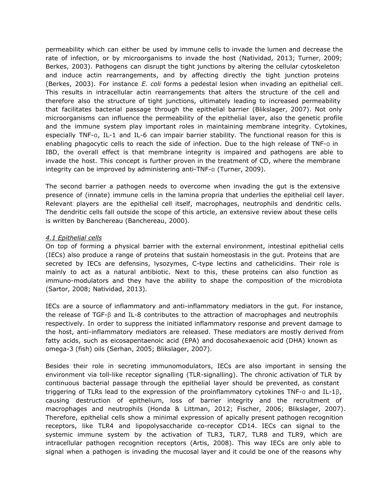permeability which can either be used by immune cells to invade the lumen and decrease the rate of infection, or by microorganisms to invade the host (Natividad, 2013; Turner, 2009; Berkes, 2003). Pathogens can disrupt the tight junctions by altering the cellular cytoskeleton and induce actin rearrangements, and by affecting directly the tight junction proteins (Berkes, 2003). For instance *E. coli* forms a pedestal lesion when invading an epithelial cell. This results in intracellular actin rearrangements that alters the structure of the cell and therefore also the structure of tight junctions, ultimately leading to increased permeability that facilitates bacterial passage through the epithelial barrier (Blikslager, 2007). Not only microorganisms can influence the permeability of the epithelial layer, also the genetic profile and the immune system play important roles in maintaining membrane integrity. Cytokines, especially TNF-α, IL-1 and IL-6 can impair barrier stability. The functional reason for this is enabling phagocytic cells to reach the side of infection. Due to the high release of TNF-α in IBD, the overall effect is that membrane integrity is impaired and pathogens are able to invade the host. This concept is further proven in the treatment of CD, where the membrane integrity can be improved by administering anti-TNF-α (Turner, 2009).

The second barrier a pathogen needs to overcome when invading the gut is the extensive presence of (innate) immune cells in the lamina propria that underlies the epithelial cell layer. Relevant players are the epithelial cell itself, macrophages, neutrophils and dendritic cells. The dendritic cells fall outside the scope of this article, an extensive review about these cells is written by Banchereau (Banchereau, 2000).

## *4.1 Epithelial cells*

On top of forming a physical barrier with the external environment, intestinal epithelial cells (IECs) also produce a range of proteins that sustain homeostasis in the gut. Proteins that are secreted by IECs are defensins, lysozymes, C-type lectins and cathelicidins. Their role is mainly to act as a natural antibiotic. Next to this, these proteins can also function as immuno-modulators and they have the ability to shape the composition of the microbiota (Sartor, 2008; Natividad, 2013).

IECs are a source of inflammatory and anti-inflammatory mediators in the gut. For instance, the release of TGF-β and IL-8 contributes to the attraction of macrophages and neutrophils respectively. In order to suppress the initiated inflammatory response and prevent damage to the host, anti-inflammatory mediators are released. These mediators are mostly derived from fatty acids, such as eicosapentaenoic acid (EPA) and docosahexaenoic acid (DHA) known as omega-3 (fish) oils (Serhan, 2005; Blikslager, 2007).

Besides their role in secreting immunomodulators, IECs are also important in sensing the environment via toll-like receptor signalling (TLR-signalling). The chronic activation of TLR by continuous bacterial passage through the epithelial layer should be prevented, as constant triggering of TLRs lead to the expression of the proinflammatory cytokines TNF-α and IL-1β, causing destruction of epithelium, loss of barrier integrity and the recruitment of macrophages and neutrophils (Honda & Littman, 2012; Fischer, 2006; Blikslager, 2007). Therefore, epithelial cells show a minimal expression of apically present pathogen recognition receptors, like TLR4 and lipopolysaccharide co-receptor CD14. IECs can signal to the systemic immune system by the activation of TLR3, TLR7, TLR8 and TLR9, which are intracellular pathogen recognition receptors (Artis, 2008). This way IECs are only able to signal when a pathogen is invading the mucosal layer and it could be one of the reasons why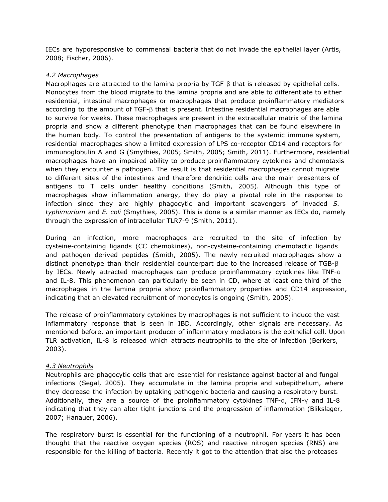IECs are hyporesponsive to commensal bacteria that do not invade the epithelial layer (Artis, 2008; Fischer, 2006).

## *4.2 Macrophages*

Macrophages are attracted to the lamina propria by TGF-β that is released by epithelial cells. Monocytes from the blood migrate to the lamina propria and are able to differentiate to either residential, intestinal macrophages or macrophages that produce proinflammatory mediators according to the amount of TGF-β that is present. Intestine residential macrophages are able to survive for weeks. These macrophages are present in the extracellular matrix of the lamina propria and show a different phenotype than macrophages that can be found elsewhere in the human body. To control the presentation of antigens to the systemic immune system, residential macrophages show a limited expression of LPS co-receptor CD14 and receptors for immunoglobulin A and G (Smythies, 2005; Smith, 2005; Smith, 2011). Furthermore, residential macrophages have an impaired ability to produce proinflammatory cytokines and chemotaxis when they encounter a pathogen. The result is that residential macrophages cannot migrate to different sites of the intestines and therefore dendritic cells are the main presenters of antigens to T cells under healthy conditions (Smith, 2005). Although this type of macrophages show inflammation anergy, they do play a pivotal role in the response to infection since they are highly phagocytic and important scavengers of invaded *S. typhimurium* and *E. coli* (Smythies, 2005). This is done is a similar manner as IECs do, namely through the expression of intracellular TLR7-9 (Smith, 2011).

During an infection, more macrophages are recruited to the site of infection by cysteine-containing ligands (CC chemokines), non-cysteine-containing chemotactic ligands and pathogen derived peptides (Smith, 2005). The newly recruited macrophages show a distinct phenotype than their residential counterpart due to the increased release of TGB-β by IECs. Newly attracted macrophages can produce proinflammatory cytokines like TNF-α and IL-8. This phenomenon can particularly be seen in CD, where at least one third of the macrophages in the lamina propria show proinflammatory properties and CD14 expression, indicating that an elevated recruitment of monocytes is ongoing (Smith, 2005).

The release of proinflammatory cytokines by macrophages is not sufficient to induce the vast inflammatory response that is seen in IBD. Accordingly, other signals are necessary. As mentioned before, an important producer of inflammatory mediators is the epithelial cell. Upon TLR activation, IL-8 is released which attracts neutrophils to the site of infection (Berkers, 2003).

## *4.3 Neutrophils*

Neutrophils are phagocytic cells that are essential for resistance against bacterial and fungal infections (Segal, 2005). They accumulate in the lamina propria and subepithelium, where they decrease the infection by uptaking pathogenic bacteria and causing a respiratory burst. Additionally, they are a source of the proinflammatory cytokines TNF-α, IFN-γ and IL-8 indicating that they can alter tight junctions and the progression of inflammation (Blikslager, 2007; Hanauer, 2006).

The respiratory burst is essential for the functioning of a neutrophil. For years it has been thought that the reactive oxygen species (ROS) and reactive nitrogen species (RNS) are responsible for the killing of bacteria. Recently it got to the attention that also the proteases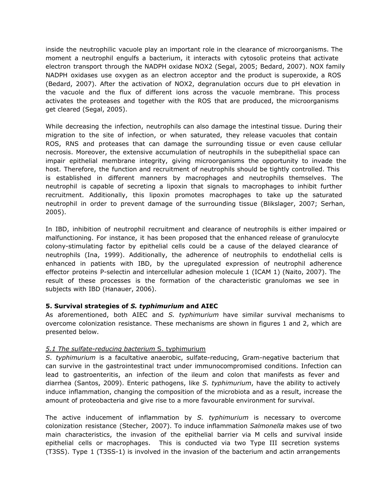inside the neutrophilic vacuole play an important role in the clearance of microorganisms. The moment a neutrophil engulfs a bacterium, it interacts with cytosolic proteins that activate electron transport through the NADPH oxidase NOX2 (Segal, 2005; Bedard, 2007). NOX family NADPH oxidases use oxygen as an electron acceptor and the product is superoxide, a ROS (Bedard, 2007). After the activation of NOX2, degranulation occurs due to pH elevation in the vacuole and the flux of different ions across the vacuole membrane. This process activates the proteases and together with the ROS that are produced, the microorganisms get cleared (Segal, 2005).

While decreasing the infection, neutrophils can also damage the intestinal tissue. During their migration to the site of infection, or when saturated, they release vacuoles that contain ROS, RNS and proteases that can damage the surrounding tissue or even cause cellular necrosis. Moreover, the extensive accumulation of neutrophils in the subepithelial space can impair epithelial membrane integrity, giving microorganisms the opportunity to invade the host. Therefore, the function and recruitment of neutrophils should be tightly controlled. This is established in different manners by macrophages and neutrophils themselves. The neutrophil is capable of secreting a lipoxin that signals to macrophages to inhibit further recruitment. Additionally, this lipoxin promotes macrophages to take up the saturated neutrophil in order to prevent damage of the surrounding tissue (Blikslager, 2007; Serhan, 2005).

In IBD, inhibition of neutrophil recruitment and clearance of neutrophils is either impaired or malfunctioning. For instance, it has been proposed that the enhanced release of granulocyte colony-stimulating factor by epithelial cells could be a cause of the delayed clearance of neutrophils (Ina, 1999). Additionally, the adherence of neutrophils to endothelial cells is enhanced in patients with IBD, by the upregulated expression of neutrophil adherence effector proteins P-selectin and intercellular adhesion molecule 1 (ICAM 1) (Naito, 2007). The result of these processes is the formation of the characteristic granulomas we see in subjects with IBD (Hanauer, 2006).

## **5. Survival strategies of** *S. typhimurium* **and AIEC**

As aforementioned, both AIEC and *S. typhimurium* have similar survival mechanisms to overcome colonization resistance. These mechanisms are shown in figures 1 and 2, which are presented below.

# *5.1 The sulfate-reducing bacterium* S. typhimurium

*S*. *typhimurium* is a facultative anaerobic, sulfate-reducing, Gram-negative bacterium that can survive in the gastrointestinal tract under immunocompromised conditions. Infection can lead to gastroenteritis, an infection of the ileum and colon that manifests as fever and diarrhea (Santos, 2009). Enteric pathogens, like *S. typhimurium*, have the ability to actively induce inflammation, changing the composition of the microbiota and as a result, increase the amount of proteobacteria and give rise to a more favourable environment for survival.

The active inducement of inflammation by *S. typhimurium* is necessary to overcome colonization resistance (Stecher, 2007). To induce inflammation *Salmonella* makes use of two main characteristics, the invasion of the epithelial barrier via M cells and survival inside epithelial cells or macrophages. This is conducted via two Type III secretion systems (T3SS). Type 1 (T3SS-1) is involved in the invasion of the bacterium and actin arrangements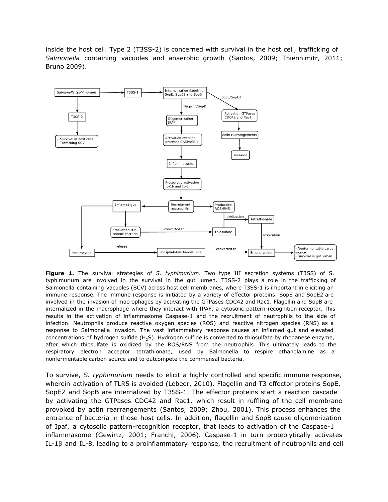inside the host cell. Type 2 (T3SS-2) is concerned with survival in the host cell, trafficking of *Salmonella* containing vacuoles and anaerobic growth (Santos, 2009; Thiennimitr, 2011; Bruno 2009).



**Figure 1.** The survival strategies of *S. typhimurium*. Two type III secretion systems (T3SS) of S. typhimurium are involved in the survival in the gut lumen. T3SS-2 plays a role in the trafficking of Salmonella containing vacuoles (SCV) across host cell membranes, where T3SS-1 is important in eliciting an immune response. The immune response is initiated by a variety of effector proteins. SopE and SopE2 are involved in the invasion of macrophages by activating the GTPases CDC42 and Rac1. Flagellin and SopB are internalized in the macrophage where they interact with IPAF, a cytosolic pattern-recognition receptor. This results in the activation of inflammasome Caspase-1 and the recruitment of neutrophils to the side of infection. Neutrophils produce reactive oxygen species (ROS) and reactive nitrogen species (RNS) as a response to Salmonella invasion. The vast inflammatory response causes an inflamed gut and elevated concentrations of hydrogen sulfide (H<sub>2</sub>S). Hydrogen sulfide is converted to thiosulfate by rhodanese enzyme, after which thiosulfate is oxidized by the ROS/RNS from the neutrophils. This ultimately leads to the respiratory electron acceptor tetrathionate, used by Salmonella to respire ethanolamine as a nonfermentable carbon source and to outcompete the commensal bacteria.

To survive, *S. typhimurium* needs to elicit a highly controlled and specific immune response, wherein activation of TLR5 is avoided (Lebeer, 2010). Flagellin and T3 effector proteins SopE, SopE2 and SopB are internalized by T3SS-1. The effector proteins start a reaction cascade by activating the GTPases CDC42 and Rac1, which result in ruffling of the cell membrane provoked by actin rearrangements (Santos, 2009; Zhou, 2001). This process enhances the entrance of bacteria in those host cells. In addition, flagellin and SopB cause oligomerization of Ipaf, a cytosolic pattern-recognition receptor, that leads to activation of the Caspase-1 inflammasome (Gewirtz, 2001; Franchi, 2006). Caspase-1 in turn proteolytically activates IL-1β and IL-8, leading to a proinflammatory response, the recruitment of neutrophils and cell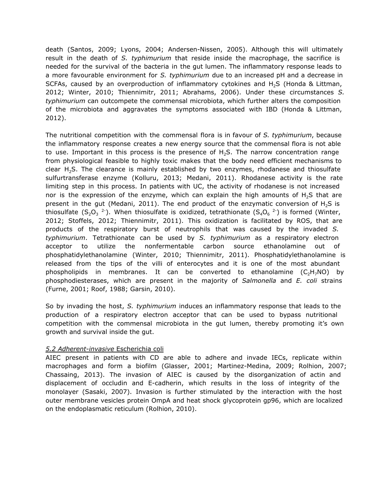death (Santos, 2009; Lyons, 2004; Andersen-Nissen, 2005). Although this will ultimately result in the death of *S. typhimurium* that reside inside the macrophage, the sacrifice is needed for the survival of the bacteria in the gut lumen. The inflammatory response leads to a more favourable environment for *S. typhimurium* due to an increased pH and a decrease in SCFAs, caused by an overproduction of inflammatory cytokines and  $H_2S$  (Honda & Littman, 2012; Winter, 2010; Thiennimitr, 2011; Abrahams, 2006). Under these circumstances *S. typhimurium* can outcompete the commensal microbiota, which further alters the composition of the microbiota and aggravates the symptoms associated with IBD (Honda & Littman, 2012).

The nutritional competition with the commensal flora is in favour of *S. typhimurium*, because the inflammatory response creates a new energy source that the commensal flora is not able to use. Important in this process is the presence of  $H_2S$ . The narrow concentration range from physiological feasible to highly toxic makes that the body need efficient mechanisms to clear  $H_2S$ . The clearance is mainly established by two enzymes, rhodanese and thiosulfate sulfurtransferase enzyme (Kolluru, 2013; Medani, 2011). Rhodanese activity is the rate limiting step in this process. In patients with UC, the activity of rhodanese is not increased nor is the expression of the enzyme, which can explain the high amounts of  $H_2S$  that are present in the gut (Medani, 2011). The end product of the enzymatic conversion of  $H_2S$  is thiosulfate (S<sub>2</sub>O<sub>3</sub><sup>2-</sup>). When thiosulfate is oxidized, tetrathionate (S<sub>4</sub>O<sub>6</sub><sup>2-</sup>) is formed (Winter, 2012; Stoffels, 2012; Thiennimitr, 2011). This oxidization is facilitated by ROS, that are products of the respiratory burst of neutrophils that was caused by the invaded *S. typhimurium*. Tetrathionate can be used by *S. typhimurium* as a respiratory electron acceptor to utilize the nonfermentable carbon source ethanolamine out of phosphatidylethanolamine (Winter, 2010; Thiennimitr, 2011). Phosphatidylethanolamine is released from the tips of the villi of enterocytes and it is one of the most abundant phospholipids in membranes. It can be converted to ethanolamine  $(C_2H_7NO)$  by phosphodiesterases, which are present in the majority of *Salmonella* and *E. coli* strains (Furne, 2001; Roof, 1988; Garsin, 2010).

So by invading the host, *S. typhimurium* induces an inflammatory response that leads to the production of a respiratory electron acceptor that can be used to bypass nutritional competition with the commensal microbiota in the gut lumen, thereby promoting it's own growth and survival inside the gut.

## *5.2 Adherent-invasive* Escherichia coli

AIEC present in patients with CD are able to adhere and invade IECs, replicate within macrophages and form a biofilm (Glasser, 2001; Martinez-Medina, 2009; Rolhion, 2007; Chassaing, 2013). The invasion of AIEC is caused by the disorganization of actin and displacement of occludin and E-cadherin, which results in the loss of integrity of the monolayer (Sasaki, 2007). Invasion is further stimulated by the interaction with the host outer membrane vesicles protein OmpA and heat shock glycoprotein gp96, which are localized on the endoplasmatic reticulum (Rolhion, 2010).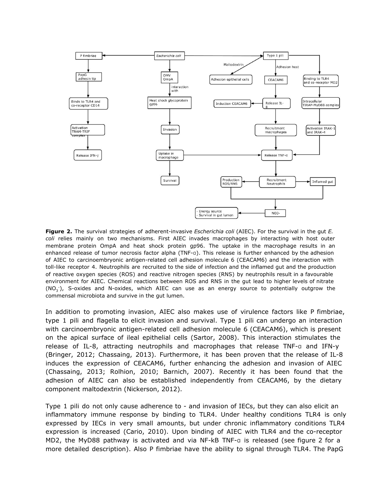

**Figure 2.** The survival strategies of adherent-invasive *Escherichia coli* (AIEC). For the survival in the gut *E. coli* relies mainly on two mechanisms. First AIEC invades macrophages by interacting with host outer membrane protein OmpA and heat shock protein gp96. The uptake in the macrophage results in an enhanced release of tumor necrosis factor alpha (TNF-α). This release is further enhanced by the adhesion of AIEC to carcinoembryonic antigen-related cell adhesion molecule 6 (CEACAM6) and the interaction with toll-like receptor 4. Neutrophils are recruited to the side of infection and the inflamed gut and the production of reactive oxygen species (ROS) and reactive nitrogen species (RNS) by neutrophils result in a favourable environment for AIEC. Chemical reactions between ROS and RNS in the gut lead to higher levels of nitrate (NO<sub>3</sub>), S-oxides and N-oxides, which AIEC can use as an energy source to potentially outgrow the commensal microbiota and survive in the gut lumen.

In addition to promoting invasion, AIEC also makes use of virulence factors like P fimbriae, type 1 pili and flagella to elicit invasion and survival. Type 1 pili can undergo an interaction with carcinoembryonic antigen-related cell adhesion molecule 6 (CEACAM6), which is present on the apical surface of ileal epithelial cells (Sartor, 2008). This interaction stimulates the release of IL-8, attracting neutrophils and macrophages that release TNF-α and IFN-y (Bringer, 2012; Chassaing, 2013). Furthermore, it has been proven that the release of IL-8 induces the expression of CEACAM6, further enhancing the adhesion and invasion of AIEC (Chassaing, 2013; Rolhion, 2010; Barnich, 2007). Recently it has been found that the adhesion of AIEC can also be established independently from CEACAM6, by the dietary component maltodextrin (Nickerson, 2012).

Type 1 pili do not only cause adherence to - and invasion of IECs, but they can also elicit an inflammatory immune response by binding to TLR4. Under healthy conditions TLR4 is only expressed by IECs in very small amounts, but under chronic inflammatory conditions TLR4 expression is increased (Cario, 2010). Upon binding of AIEC with TLR4 and the co-receptor MD2, the MyD88 pathway is activated and via NF-kB TNF-α is released (see figure 2 for a more detailed description). Also P fimbriae have the ability to signal through TLR4. The PapG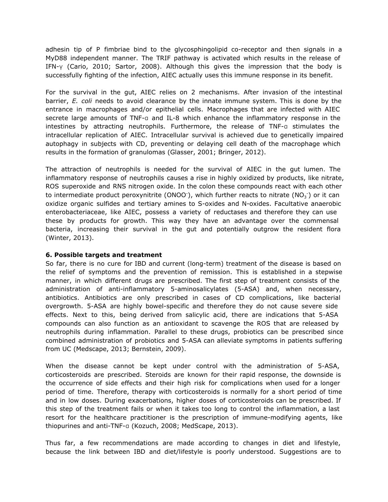adhesin tip of P fimbriae bind to the glycosphingolipid co-receptor and then signals in a MyD88 independent manner. The TRIF pathway is activated which results in the release of IFN-γ (Cario, 2010; Sartor, 2008). Although this gives the impression that the body is successfully fighting of the infection, AIEC actually uses this immune response in its benefit.

For the survival in the gut, AIEC relies on 2 mechanisms. After invasion of the intestinal barrier, *E. coli* needs to avoid clearance by the innate immune system. This is done by the entrance in macrophages and/or epithelial cells. Macrophages that are infected with AIEC secrete large amounts of TNF-α and IL-8 which enhance the inflammatory response in the intestines by attracting neutrophils. Furthermore, the release of TNF-α stimulates the intracellular replication of AIEC. Intracellular survival is achieved due to genetically impaired autophagy in subjects with CD, preventing or delaying cell death of the macrophage which results in the formation of granulomas (Glasser, 2001; Bringer, 2012).

The attraction of neutrophils is needed for the survival of AIEC in the gut lumen. The inflammatory response of neutrophils causes a rise in highly oxidized by products, like nitrate, ROS superoxide and RNS nitrogen oxide. In the colon these compounds react with each other to intermediate product peroxynitrite (ONOO<sup>-</sup>), which further reacts to nitrate (NO<sub>3</sub><sup>-</sup>) or it can oxidize organic sulfides and tertiary amines to S-oxides and N-oxides. Facultative anaerobic enterobacteriaceae, like AIEC, possess a variety of reductases and therefore they can use these by products for growth. This way they have an advantage over the commensal bacteria, increasing their survival in the gut and potentially outgrow the resident flora (Winter, 2013).

## **6. Possible targets and treatment**

So far, there is no cure for IBD and current (long-term) treatment of the disease is based on the relief of symptoms and the prevention of remission. This is established in a stepwise manner, in which different drugs are prescribed. The first step of treatment consists of the administration of anti-inflammatory 5-aminosalicylates (5-ASA) and, when necessary, antibiotics. Antibiotics are only prescribed in cases of CD complications, like bacterial overgrowth. 5-ASA are highly bowel-specific and therefore they do not cause severe side effects. Next to this, being derived from salicylic acid, there are indications that 5-ASA compounds can also function as an antioxidant to scavenge the ROS that are released by neutrophils during inflammation. Parallel to these drugs, probiotics can be prescribed since combined administration of probiotics and 5-ASA can alleviate symptoms in patients suffering from UC (Medscape, 2013; Bernstein, 2009).

When the disease cannot be kept under control with the administration of 5-ASA, corticosteroids are prescribed. Steroids are known for their rapid response, the downside is the occurrence of side effects and their high risk for complications when used for a longer period of time. Therefore, therapy with corticosteroids is normally for a short period of time and in low doses. During exacerbations, higher doses of corticosteroids can be prescribed. If this step of the treatment fails or when it takes too long to control the inflammation, a last resort for the healthcare practitioner is the prescription of immune-modifying agents, like thiopurines and anti-TNF-α (Kozuch, 2008; MedScape, 2013).

Thus far, a few recommendations are made according to changes in diet and lifestyle, because the link between IBD and diet/lifestyle is poorly understood. Suggestions are to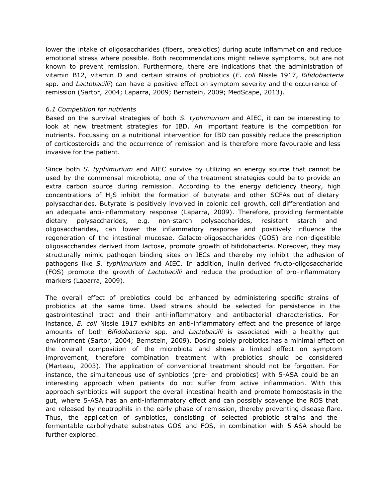lower the intake of oligosaccharides (fibers, prebiotics) during acute inflammation and reduce emotional stress where possible. Both recommendations might relieve symptoms, but are not known to prevent remission. Furthermore, there are indications that the administration of vitamin B12, vitamin D and certain strains of probiotics (*E. coli* Nissle 1917, *Bifidobacteria* spp. and *Lactobacilli*) can have a positive effect on symptom severity and the occurrence of remission (Sartor, 2004; Laparra, 2009; Bernstein, 2009; MedScape, 2013).

#### *6.1 Competition for nutrients*

Based on the survival strategies of both *S. typhimurium* and AIEC, it can be interesting to look at new treatment strategies for IBD. An important feature is the competition for nutrients. Focussing on a nutritional intervention for IBD can possibly reduce the prescription of corticosteroids and the occurrence of remission and is therefore more favourable and less invasive for the patient.

Since both *S. typhimurium* and AIEC survive by utilizing an energy source that cannot be used by the commensal microbiota, one of the treatment strategies could be to provide an extra carbon source during remission. According to the energy deficiency theory, high concentrations of H<sub>2</sub>S inhibit the formation of butyrate and other SCFAs out of dietary polysaccharides. Butyrate is positively involved in colonic cell growth, cell differentiation and an adequate anti-inflammatory response (Laparra, 2009). Therefore, providing fermentable dietary polysaccharides, e.g. non-starch polysaccharides, resistant starch and oligosaccharides, can lower the inflammatory response and positively influence the regeneration of the intestinal mucosae. Galacto-oligosaccharides (GOS) are non-digestible oligosaccharides derived from lactose, promote growth of bifidobacteria. Moreover, they may structurally mimic pathogen binding sites on IECs and thereby my inhibit the adhesion of pathogens like *S. typhimurium* and AIEC. In addition, inulin derived fructo-oligosaccharide (FOS) promote the growth of *Lactobacilli* and reduce the production of pro-inflammatory markers (Laparra, 2009).

The overall effect of prebiotics could be enhanced by administering specific strains of probiotics at the same time. Used strains should be selected for persistence in the gastrointestinal tract and their anti-inflammatory and antibacterial characteristics. For instance, *E. coli* Nissle 1917 exhibits an anti-inflammatory effect and the presence of large amounts of both *Bifidobacteria* spp. and *Lactobacilli* is associated with a healthy gut environment (Sartor, 2004; Bernstein, 2009). Dosing solely probiotics has a minimal effect on the overall composition of the microbiota and shows a limited effect on symptom improvement, therefore combination treatment with prebiotics should be considered (Marteau, 2003). The application of conventional treatment should not be forgotten. For instance, the simultaneous use of synbiotics (pre- and probiotics) with 5-ASA could be an interesting approach when patients do not suffer from active inflammation. With this approach synbiotics will support the overall intestinal health and promote homeostasis in the gut, where 5-ASA has an anti-inflammatory effect and can possibly scavenge the ROS that are released by neutrophils in the early phase of remission, thereby preventing disease flare. Thus, the application of synbiotics, consisting of selected probiotic strains and the fermentable carbohydrate substrates GOS and FOS, in combination with 5-ASA should be further explored.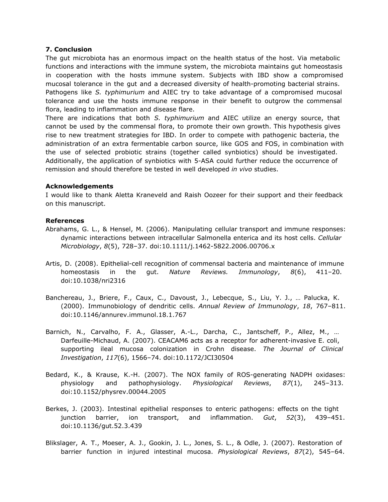#### **7. Conclusion**

The gut microbiota has an enormous impact on the health status of the host. Via metabolic functions and interactions with the immune system, the microbiota maintains gut homeostasis in cooperation with the hosts immune system. Subjects with IBD show a compromised mucosal tolerance in the gut and a decreased diversity of health-promoting bacterial strains. Pathogens like *S. typhimurium* and AIEC try to take advantage of a compromised mucosal tolerance and use the hosts immune response in their benefit to outgrow the commensal flora, leading to inflammation and disease flare.

There are indications that both *S. typhimurium* and AIEC utilize an energy source, that cannot be used by the commensal flora, to promote their own growth. This hypothesis gives rise to new treatment strategies for IBD. In order to compete with pathogenic bacteria, the administration of an extra fermentable carbon source, like GOS and FOS, in combination with the use of selected probiotic strains (together called synbiotics) should be investigated. Additionally, the application of synbiotics with 5-ASA could further reduce the occurrence of remission and should therefore be tested in well developed *in vivo* studies.

#### **Acknowledgements**

I would like to thank Aletta Kraneveld and Raish Oozeer for their support and their feedback on this manuscript.

#### **References**

- Abrahams, G. L., & Hensel, M. (2006). Manipulating cellular transport and immune responses: dynamic interactions between intracellular Salmonella enterica and its host cells. *Cellular Microbiology*, *8*(5), 728–37. doi:10.1111/j.1462-5822.2006.00706.x
- Artis, D. (2008). Epithelial-cell recognition of commensal bacteria and maintenance of immune homeostasis in the gut. *Nature Reviews. Immunology*, *8*(6), 411–20. doi:10.1038/nri2316
- Banchereau, J., Briere, F., Caux, C., Davoust, J., Lebecque, S., Liu, Y. J., … Palucka, K. (2000). Immunobiology of dendritic cells. *Annual Review of Immunology*, *18*, 767–811. doi:10.1146/annurev.immunol.18.1.767
- Barnich, N., Carvalho, F. A., Glasser, A.-L., Darcha, C., Jantscheff, P., Allez, M., … Darfeuille-Michaud, A. (2007). CEACAM6 acts as a receptor for adherent-invasive E. coli, supporting ileal mucosa colonization in Crohn disease. *The Journal of Clinical Investigation*, *117*(6), 1566–74. doi:10.1172/JCI30504
- Bedard, K., & Krause, K.-H. (2007). The NOX family of ROS-generating NADPH oxidases: physiology and pathophysiology. *Physiological Reviews*, *87*(1), 245–313. doi:10.1152/physrev.00044.2005
- Berkes, J. (2003). Intestinal epithelial responses to enteric pathogens: effects on the tight junction barrier, ion transport, and inflammation. *Gut*, *52*(3), 439–451. doi:10.1136/gut.52.3.439
- Blikslager, A. T., Moeser, A. J., Gookin, J. L., Jones, S. L., & Odle, J. (2007). Restoration of barrier function in injured intestinal mucosa. *Physiological Reviews*, *87*(2), 545–64.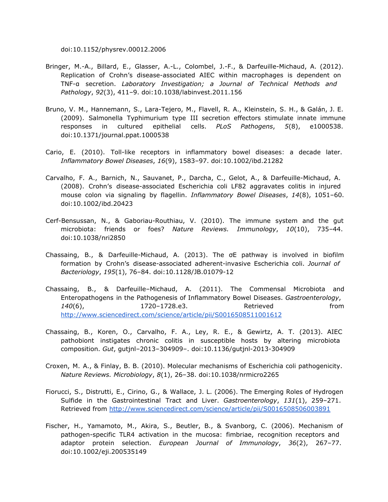doi:10.1152/physrev.00012.2006

- Bringer, M.-A., Billard, E., Glasser, A.-L., Colombel, J.-F., & Darfeuille-Michaud, A. (2012). Replication of Crohn's disease-associated AIEC within macrophages is dependent on TNF-α secretion. *Laboratory Investigation; a Journal of Technical Methods and Pathology*, *92*(3), 411–9. doi:10.1038/labinvest.2011.156
- Bruno, V. M., Hannemann, S., Lara-Tejero, M., Flavell, R. A., Kleinstein, S. H., & Galán, J. E. (2009). Salmonella Typhimurium type III secretion effectors stimulate innate immune responses in cultured epithelial cells. *PLoS Pathogens*, *5*(8), e1000538. doi:10.1371/journal.ppat.1000538
- Cario, E. (2010). Toll-like receptors in inflammatory bowel diseases: a decade later. *Inflammatory Bowel Diseases*, *16*(9), 1583–97. doi:10.1002/ibd.21282
- Carvalho, F. A., Barnich, N., Sauvanet, P., Darcha, C., Gelot, A., & Darfeuille-Michaud, A. (2008). Crohn's disease-associated Escherichia coli LF82 aggravates colitis in injured mouse colon via signaling by flagellin. *Inflammatory Bowel Diseases*, *14*(8), 1051–60. doi:10.1002/ibd.20423
- Cerf-Bensussan, N., & Gaboriau-Routhiau, V. (2010). The immune system and the gut microbiota: friends or foes? *Nature Reviews. Immunology*, *10*(10), 735–44. doi:10.1038/nri2850
- Chassaing, B., & Darfeuille-Michaud, A. (2013). The σE pathway is involved in biofilm formation by Crohn's disease-associated adherent-invasive Escherichia coli. *Journal of Bacteriology*, *195*(1), 76–84. doi:10.1128/JB.01079-12
- Chassaing, B., & Darfeuille–Michaud, A. (2011). The Commensal Microbiota and Enteropathogens in the Pathogenesis of Inflammatory Bowel Diseases. *Gastroenterology*, 140(6), 1720-1728.e3. Retrieved from [http://www.sciencedirect.com/science/article/pii/S0016508511001612](http://www.google.com/url?q=http%3A%2F%2Fwww.sciencedirect.com%2Fscience%2Farticle%2Fpii%2FS0016508511001612&sa=D&sntz=1&usg=AFQjCNFElV0pBlyM7cSm1wVF0-YV4rfYUg)
- Chassaing, B., Koren, O., Carvalho, F. A., Ley, R. E., & Gewirtz, A. T. (2013). AIEC pathobiont instigates chronic colitis in susceptible hosts by altering microbiota composition. *Gut*, gutjnl–2013–304909–. doi:10.1136/gutjnl-2013-304909
- Croxen, M. A., & Finlay, B. B. (2010). Molecular mechanisms of Escherichia coli pathogenicity. *Nature Reviews. Microbiology*, *8*(1), 26–38. doi:10.1038/nrmicro2265
- Fiorucci, S., Distrutti, E., Cirino, G., & Wallace, J. L. (2006). The Emerging Roles of Hydrogen Sulfide in the Gastrointestinal Tract and Liver. *Gastroenterology*, *131*(1), 259–271. Retrieved from [http://www.sciencedirect.com/science/article/pii/S0016508506003891](http://www.google.com/url?q=http%3A%2F%2Fwww.sciencedirect.com%2Fscience%2Farticle%2Fpii%2FS0016508506003891&sa=D&sntz=1&usg=AFQjCNFx77VnA1qBHkjYTlg99ft4GeZxCw)
- Fischer, H., Yamamoto, M., Akira, S., Beutler, B., & Svanborg, C. (2006). Mechanism of pathogen-specific TLR4 activation in the mucosa: fimbriae, recognition receptors and adaptor protein selection. *European Journal of Immunology*, *36*(2), 267–77. doi:10.1002/eji.200535149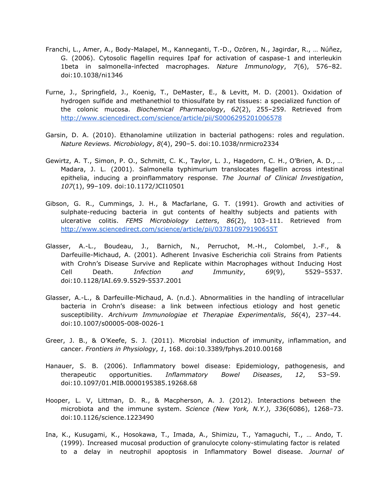- Franchi, L., Amer, A., Body-Malapel, M., Kanneganti, T.-D., Ozören, N., Jagirdar, R., … Núñez, G. (2006). Cytosolic flagellin requires Ipaf for activation of caspase-1 and interleukin 1beta in salmonella-infected macrophages. *Nature Immunology*, *7*(6), 576–82. doi:10.1038/ni1346
- Furne, J., Springfield, J., Koenig, T., DeMaster, E., & Levitt, M. D. (2001). Oxidation of hydrogen sulfide and methanethiol to thiosulfate by rat tissues: a specialized function of the colonic mucosa. *Biochemical Pharmacology*, *62*(2), 255–259. Retrieved from [http://www.sciencedirect.com/science/article/pii/S0006295201006578](http://www.google.com/url?q=http%3A%2F%2Fwww.sciencedirect.com%2Fscience%2Farticle%2Fpii%2FS0006295201006578&sa=D&sntz=1&usg=AFQjCNFaztDXe9pz5--j12nKVF_yHZVU3g)
- Garsin, D. A. (2010). Ethanolamine utilization in bacterial pathogens: roles and regulation. *Nature Reviews. Microbiology*, *8*(4), 290–5. doi:10.1038/nrmicro2334
- Gewirtz, A. T., Simon, P. O., Schmitt, C. K., Taylor, L. J., Hagedorn, C. H., O'Brien, A. D., … Madara, J. L. (2001). Salmonella typhimurium translocates flagellin across intestinal epithelia, inducing a proinflammatory response. *The Journal of Clinical Investigation*, *107*(1), 99–109. doi:10.1172/JCI10501
- Gibson, G. R., Cummings, J. H., & Macfarlane, G. T. (1991). Growth and activities of sulphate-reducing bacteria in gut contents of healthy subjects and patients with ulcerative colitis. *FEMS Microbiology Letters*, *86*(2), 103–111. Retrieved from [http://www.sciencedirect.com/science/article/pii/037810979190655T](http://www.google.com/url?q=http%3A%2F%2Fwww.sciencedirect.com%2Fscience%2Farticle%2Fpii%2F037810979190655T&sa=D&sntz=1&usg=AFQjCNGAD-_v6YSGZJOrwsGdl4HJA2SPSw)
- Glasser, A.-L., Boudeau, J., Barnich, N., Perruchot, M.-H., Colombel, J.-F., & Darfeuille-Michaud, A. (2001). Adherent Invasive Escherichia coli Strains from Patients with Crohn's Disease Survive and Replicate within Macrophages without Inducing Host Cell Death. *Infection and Immunity*, *69*(9), 5529–5537. doi:10.1128/IAI.69.9.5529-5537.2001
- Glasser, A.-L., & Darfeuille-Michaud, A. (n.d.). Abnormalities in the handling of intracellular bacteria in Crohn's disease: a link between infectious etiology and host genetic susceptibility. *Archivum Immunologiae et Therapiae Experimentalis*, *56*(4), 237–44. doi:10.1007/s00005-008-0026-1
- Greer, J. B., & O'Keefe, S. J. (2011). Microbial induction of immunity, inflammation, and cancer. *Frontiers in Physiology*, *1*, 168. doi:10.3389/fphys.2010.00168
- Hanauer, S. B. (2006). Inflammatory bowel disease: Epidemiology, pathogenesis, and therapeutic opportunities. *Inflammatory Bowel Diseases*, *12*, S3–S9. doi:10.1097/01.MIB.0000195385.19268.68
- Hooper, L. V, Littman, D. R., & Macpherson, A. J. (2012). Interactions between the microbiota and the immune system. *Science (New York, N.Y.)*, *336*(6086), 1268–73. doi:10.1126/science.1223490
- Ina, K., Kusugami, K., Hosokawa, T., Imada, A., Shimizu, T., Yamaguchi, T., … Ando, T. (1999). Increased mucosal production of granulocyte colony-stimulating factor is related to a delay in neutrophil apoptosis in Inflammatory Bowel disease. *Journal of*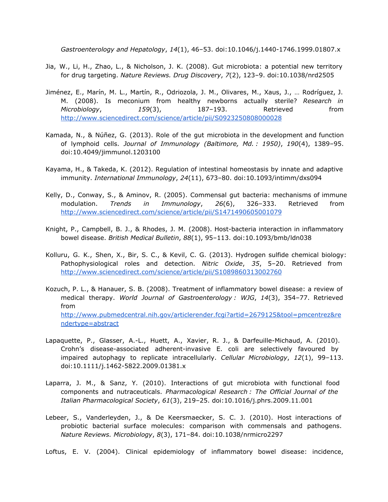*Gastroenterology and Hepatology*, *14*(1), 46–53. doi:10.1046/j.1440-1746.1999.01807.x

- Jia, W., Li, H., Zhao, L., & Nicholson, J. K. (2008). Gut microbiota: a potential new territory for drug targeting. *Nature Reviews. Drug Discovery*, *7*(2), 123–9. doi:10.1038/nrd2505
- Jiménez, E., Marín, M. L., Martín, R., Odriozola, J. M., Olivares, M., Xaus, J., … Rodríguez, J. M. (2008). Is meconium from healthy newborns actually sterile? *Research in Microbiology*, *159*(3), 187–193. Retrieved from [http://www.sciencedirect.com/science/article/pii/S0923250808000028](http://www.google.com/url?q=http%3A%2F%2Fwww.sciencedirect.com%2Fscience%2Farticle%2Fpii%2FS0923250808000028&sa=D&sntz=1&usg=AFQjCNGE7RFh8lihZ3RtIzzT7sG34O9Yrg)
- Kamada, N., & Núñez, G. (2013). Role of the gut microbiota in the development and function of lymphoid cells. *Journal of Immunology (Baltimore, Md. : 1950)*, *190*(4), 1389–95. doi:10.4049/jimmunol.1203100
- Kayama, H., & Takeda, K. (2012). Regulation of intestinal homeostasis by innate and adaptive immunity. *International Immunology*, *24*(11), 673–80. doi:10.1093/intimm/dxs094
- Kelly, D., Conway, S., & Aminov, R. (2005). Commensal gut bacteria: mechanisms of immune modulation. *Trends in Immunology*, *26*(6), 326–333. Retrieved from [http://www.sciencedirect.com/science/article/pii/S1471490605001079](http://www.google.com/url?q=http%3A%2F%2Fwww.sciencedirect.com%2Fscience%2Farticle%2Fpii%2FS1471490605001079&sa=D&sntz=1&usg=AFQjCNHlFpkWtDdamoEV5LPchx7F8hpf-w)
- Knight, P., Campbell, B. J., & Rhodes, J. M. (2008). Host-bacteria interaction in inflammatory bowel disease. *British Medical Bulletin*, *88*(1), 95–113. doi:10.1093/bmb/ldn038
- Kolluru, G. K., Shen, X., Bir, S. C., & Kevil, C. G. (2013). Hydrogen sulfide chemical biology: Pathophysiological roles and detection. *Nitric Oxide*, *35*, 5–20. Retrieved from [http://www.sciencedirect.com/science/article/pii/S1089860313002760](http://www.google.com/url?q=http%3A%2F%2Fwww.sciencedirect.com%2Fscience%2Farticle%2Fpii%2FS1089860313002760&sa=D&sntz=1&usg=AFQjCNEUt-2HQTZhJIbBfRGSzg3pL1o2Cg)
- Kozuch, P. L., & Hanauer, S. B. (2008). Treatment of inflammatory bowel disease: a review of medical therapy. *World Journal of Gastroenterology : WJG*, *14*(3), 354–77. Retrieved from [http://www.pubmedcentral.nih.gov/articlerender.fcgi?artid=2679125&tool=pmcentrez&re](http://www.google.com/url?q=http%3A%2F%2Fwww.pubmedcentral.nih.gov%2Farticlerender.fcgi%3Fartid%3D2679125%26tool%3Dpmcentrez%26rendertype%3Dabstract&sa=D&sntz=1&usg=AFQjCNHtKcgy1_z7uWDfTGNAK5MBZ-pBbQ) [ndertype=abstract](http://www.google.com/url?q=http%3A%2F%2Fwww.pubmedcentral.nih.gov%2Farticlerender.fcgi%3Fartid%3D2679125%26tool%3Dpmcentrez%26rendertype%3Dabstract&sa=D&sntz=1&usg=AFQjCNHtKcgy1_z7uWDfTGNAK5MBZ-pBbQ)
- Lapaquette, P., Glasser, A.-L., Huett, A., Xavier, R. J., & Darfeuille-Michaud, A. (2010). Crohn's disease-associated adherent-invasive E. coli are selectively favoured by impaired autophagy to replicate intracellularly. *Cellular Microbiology*, *12*(1), 99–113. doi:10.1111/j.1462-5822.2009.01381.x
- Laparra, J. M., & Sanz, Y. (2010). Interactions of gut microbiota with functional food components and nutraceuticals. *Pharmacological Research : The Official Journal of the Italian Pharmacological Society*, *61*(3), 219–25. doi:10.1016/j.phrs.2009.11.001
- Lebeer, S., Vanderleyden, J., & De Keersmaecker, S. C. J. (2010). Host interactions of probiotic bacterial surface molecules: comparison with commensals and pathogens. *Nature Reviews. Microbiology*, *8*(3), 171–84. doi:10.1038/nrmicro2297
- Loftus, E. V. (2004). Clinical epidemiology of inflammatory bowel disease: incidence,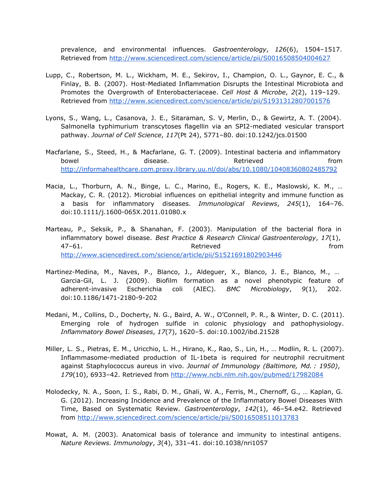prevalence, and environmental influences. *Gastroenterology*, *126*(6), 1504–1517. Retrieved from [http://www.sciencedirect.com/science/article/pii/S0016508504004627](http://www.google.com/url?q=http%3A%2F%2Fwww.sciencedirect.com%2Fscience%2Farticle%2Fpii%2FS0016508504004627&sa=D&sntz=1&usg=AFQjCNGeNH3ES6gGqMddAJT3mSiIC5qHZA)

- Lupp, C., Robertson, M. L., Wickham, M. E., Sekirov, I., Champion, O. L., Gaynor, E. C., & Finlay, B. B. (2007). Host-Mediated Inflammation Disrupts the Intestinal Microbiota and Promotes the Overgrowth of Enterobacteriaceae. *Cell Host & Microbe*, *2*(2), 119–129. Retrieved from [http://www.sciencedirect.com/science/article/pii/S1931312807001576](http://www.google.com/url?q=http%3A%2F%2Fwww.sciencedirect.com%2Fscience%2Farticle%2Fpii%2FS1931312807001576&sa=D&sntz=1&usg=AFQjCNHhI7DvvyHrBqwkfjJrOCwQX0dEPA)
- Lyons, S., Wang, L., Casanova, J. E., Sitaraman, S. V, Merlin, D., & Gewirtz, A. T. (2004). Salmonella typhimurium transcytoses flagellin via an SPI2-mediated vesicular transport pathway. *Journal of Cell Science*, *117*(Pt 24), 5771–80. doi:10.1242/jcs.01500
- Macfarlane, S., Steed, H., & Macfarlane, G. T. (2009). Intestinal bacteria and inflammatory bowel **disease.** The settle of the set of the disease. The set of the set of the set of the disease of the set o [http://informahealthcare.com.proxy.library.uu.nl/doi/abs/10.1080/10408360802485792](http://www.google.com/url?q=http%3A%2F%2Finformahealthcare.com.proxy.library.uu.nl%2Fdoi%2Fabs%2F10.1080%2F10408360802485792&sa=D&sntz=1&usg=AFQjCNFn2g8xsOPllH3zhfGgQd4sLqa4zA)
- Macia, L., Thorburn, A. N., Binge, L. C., Marino, E., Rogers, K. E., Maslowski, K. M., … Mackay, C. R. (2012). Microbial influences on epithelial integrity and immune function as a basis for inflammatory diseases. *Immunological Reviews*, *245*(1), 164–76. doi:10.1111/j.1600-065X.2011.01080.x
- Marteau, P., Seksik, P., & Shanahan, F. (2003). Manipulation of the bacterial flora in inflammatory bowel disease. *Best Practice & Research Clinical Gastroenterology*, *17*(1), 47–61. Retrieved from [http://www.sciencedirect.com/science/article/pii/S1521691802903446](http://www.google.com/url?q=http%3A%2F%2Fwww.sciencedirect.com%2Fscience%2Farticle%2Fpii%2FS1521691802903446&sa=D&sntz=1&usg=AFQjCNHrzTTgdkrzMYhTcyXSfEEhwvg6Ow)
- Martinez-Medina, M., Naves, P., Blanco, J., Aldeguer, X., Blanco, J. E., Blanco, M., ... Garcia-Gil, L. J. (2009). Biofilm formation as a novel phenotypic feature of adherent-invasive Escherichia coli (AIEC). *BMC Microbiology*, *9*(1), 202. doi:10.1186/1471-2180-9-202
- Medani, M., Collins, D., Docherty, N. G., Baird, A. W., O'Connell, P. R., & Winter, D. C. (2011). Emerging role of hydrogen sulfide in colonic physiology and pathophysiology. *Inflammatory Bowel Diseases*, *17*(7), 1620–5. doi:10.1002/ibd.21528
- Miller, L. S., Pietras, E. M., Uricchio, L. H., Hirano, K., Rao, S., Lin, H., … Modlin, R. L. (2007). Inflammasome-mediated production of IL-1beta is required for neutrophil recruitment against Staphylococcus aureus in vivo. *Journal of Immunology (Baltimore, Md. : 1950)*, *179*(10), 6933–42. Retrieved from [http://www.ncbi.nlm.nih.gov/pubmed/17982084](http://www.google.com/url?q=http%3A%2F%2Fwww.ncbi.nlm.nih.gov%2Fpubmed%2F17982084&sa=D&sntz=1&usg=AFQjCNE5RGQPfSei8QLOyjG7y4dzw5KO-g)
- Molodecky, N. A., Soon, I. S., Rabi, D. M., Ghali, W. A., Ferris, M., Chernoff, G., … Kaplan, G. G. (2012). Increasing Incidence and Prevalence of the Inflammatory Bowel Diseases With Time, Based on Systematic Review. *Gastroenterology*, *142*(1), 46–54.e42. Retrieved from [http://www.sciencedirect.com/science/article/pii/S0016508511013783](http://www.google.com/url?q=http%3A%2F%2Fwww.sciencedirect.com%2Fscience%2Farticle%2Fpii%2FS0016508511013783&sa=D&sntz=1&usg=AFQjCNFAsLDnMVuqGrNy-li9b9CxMc7YwQ)
- Mowat, A. M. (2003). Anatomical basis of tolerance and immunity to intestinal antigens. *Nature Reviews. Immunology*, *3*(4), 331–41. doi:10.1038/nri1057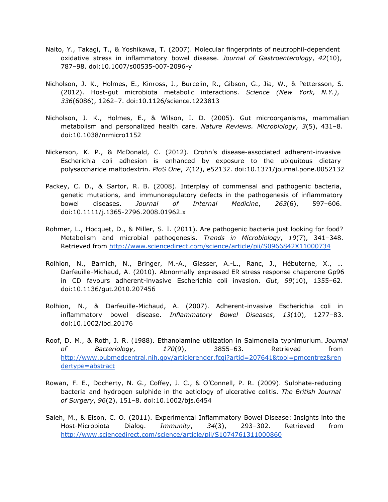- Naito, Y., Takagi, T., & Yoshikawa, T. (2007). Molecular fingerprints of neutrophil-dependent oxidative stress in inflammatory bowel disease. *Journal of Gastroenterology*, *42*(10), 787–98. doi:10.1007/s00535-007-2096-y
- Nicholson, J. K., Holmes, E., Kinross, J., Burcelin, R., Gibson, G., Jia, W., & Pettersson, S. (2012). Host-gut microbiota metabolic interactions. *Science (New York, N.Y.)*, *336*(6086), 1262–7. doi:10.1126/science.1223813
- Nicholson, J. K., Holmes, E., & Wilson, I. D. (2005). Gut microorganisms, mammalian metabolism and personalized health care. *Nature Reviews. Microbiology*, *3*(5), 431–8. doi:10.1038/nrmicro1152
- Nickerson, K. P., & McDonald, C. (2012). Crohn's disease-associated adherent-invasive Escherichia coli adhesion is enhanced by exposure to the ubiquitous dietary polysaccharide maltodextrin. *PloS One*, *7*(12), e52132. doi:10.1371/journal.pone.0052132
- Packey, C. D., & Sartor, R. B. (2008). Interplay of commensal and pathogenic bacteria, genetic mutations, and immunoregulatory defects in the pathogenesis of inflammatory bowel diseases. *Journal of Internal Medicine*, *263*(6), 597–606. doi:10.1111/j.1365-2796.2008.01962.x
- Rohmer, L., Hocquet, D., & Miller, S. I. (2011). Are pathogenic bacteria just looking for food? Metabolism and microbial pathogenesis. *Trends in Microbiology*, *19*(7), 341–348. Retrieved from [http://www.sciencedirect.com/science/article/pii/S0966842X11000734](http://www.google.com/url?q=http%3A%2F%2Fwww.sciencedirect.com%2Fscience%2Farticle%2Fpii%2FS0966842X11000734&sa=D&sntz=1&usg=AFQjCNH8s9BH-VkQzCVp-K33JWHBJqXgDw)
- Rolhion, N., Barnich, N., Bringer, M.-A., Glasser, A.-L., Ranc, J., Hébuterne, X., … Darfeuille-Michaud, A. (2010). Abnormally expressed ER stress response chaperone Gp96 in CD favours adherent-invasive Escherichia coli invasion. *Gut*, *59*(10), 1355–62. doi:10.1136/gut.2010.207456
- Rolhion, N., & Darfeuille-Michaud, A. (2007). Adherent-invasive Escherichia coli in inflammatory bowel disease. *Inflammatory Bowel Diseases*, *13*(10), 1277–83. doi:10.1002/ibd.20176
- Roof, D. M., & Roth, J. R. (1988). Ethanolamine utilization in Salmonella typhimurium. *Journal of Bacteriology*, *170*(9), 3855–63. Retrieved from [http://www.pubmedcentral.nih.gov/articlerender.fcgi?artid=207641&tool=pmcentrez&ren](http://www.google.com/url?q=http%3A%2F%2Fwww.pubmedcentral.nih.gov%2Farticlerender.fcgi%3Fartid%3D207641%26tool%3Dpmcentrez%26rendertype%3Dabstract&sa=D&sntz=1&usg=AFQjCNEj-0hLX_x4zrSOxUfnetsj_bBWMw) [dertype=abstract](http://www.google.com/url?q=http%3A%2F%2Fwww.pubmedcentral.nih.gov%2Farticlerender.fcgi%3Fartid%3D207641%26tool%3Dpmcentrez%26rendertype%3Dabstract&sa=D&sntz=1&usg=AFQjCNEj-0hLX_x4zrSOxUfnetsj_bBWMw)
- Rowan, F. E., Docherty, N. G., Coffey, J. C., & O'Connell, P. R. (2009). Sulphate-reducing bacteria and hydrogen sulphide in the aetiology of ulcerative colitis. *The British Journal of Surgery*, *96*(2), 151–8. doi:10.1002/bjs.6454
- Saleh, M., & Elson, C. O. (2011). Experimental Inflammatory Bowel Disease: Insights into the Host-Microbiota Dialog. *Immunity*, *34*(3), 293–302. Retrieved from [http://www.sciencedirect.com/science/article/pii/S1074761311000860](http://www.google.com/url?q=http%3A%2F%2Fwww.sciencedirect.com%2Fscience%2Farticle%2Fpii%2FS1074761311000860&sa=D&sntz=1&usg=AFQjCNFN__Z5HVGcmzC3KdSb9cNuiLQUZQ)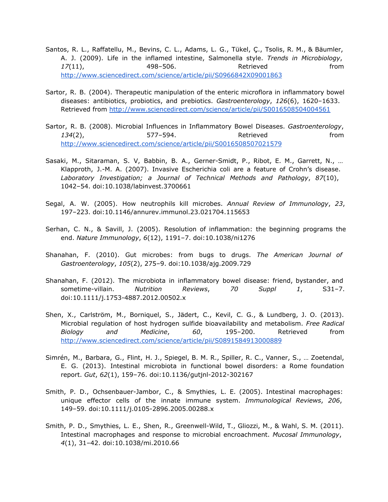- Santos, R. L., Raffatellu, M., Bevins, C. L., Adams, L. G., Tükel, Ç., Tsolis, R. M., & Bäumler, A. J. (2009). Life in the inflamed intestine, Salmonella style. *Trends in Microbiology*, 17(11), **498–506.** And **Retrieved https://** [http://www.sciencedirect.com/science/article/pii/S0966842X09001863](http://www.google.com/url?q=http%3A%2F%2Fwww.sciencedirect.com%2Fscience%2Farticle%2Fpii%2FS0966842X09001863&sa=D&sntz=1&usg=AFQjCNFlEyjyKBe8YF1LcyL08t6ZnV0u7A)
- Sartor, R. B. (2004). Therapeutic manipulation of the enteric microflora in inflammatory bowel diseases: antibiotics, probiotics, and prebiotics. *Gastroenterology*, *126*(6), 1620–1633. Retrieved from [http://www.sciencedirect.com/science/article/pii/S0016508504004561](http://www.google.com/url?q=http%3A%2F%2Fwww.sciencedirect.com%2Fscience%2Farticle%2Fpii%2FS0016508504004561&sa=D&sntz=1&usg=AFQjCNH8mSUgrQmz-iDfRVXSQ9Vlk3NPfg)
- Sartor, R. B. (2008). Microbial Influences in Inflammatory Bowel Diseases. *Gastroenterology*, *134*(2), 577–594. Retrieved from [http://www.sciencedirect.com/science/article/pii/S0016508507021579](http://www.google.com/url?q=http%3A%2F%2Fwww.sciencedirect.com%2Fscience%2Farticle%2Fpii%2FS0016508507021579&sa=D&sntz=1&usg=AFQjCNHkGvXwEGGBG_wsczsgrncDbQ9YAA)
- Sasaki, M., Sitaraman, S. V, Babbin, B. A., Gerner-Smidt, P., Ribot, E. M., Garrett, N., … Klapproth, J.-M. A. (2007). Invasive Escherichia coli are a feature of Crohn's disease. *Laboratory Investigation; a Journal of Technical Methods and Pathology*, *87*(10), 1042–54. doi:10.1038/labinvest.3700661
- Segal, A. W. (2005). How neutrophils kill microbes. *Annual Review of Immunology*, *23*, 197–223. doi:10.1146/annurev.immunol.23.021704.115653
- Serhan, C. N., & Savill, J. (2005). Resolution of inflammation: the beginning programs the end. *Nature Immunology*, *6*(12), 1191–7. doi:10.1038/ni1276
- Shanahan, F. (2010). Gut microbes: from bugs to drugs. *The American Journal of Gastroenterology*, *105*(2), 275–9. doi:10.1038/ajg.2009.729
- Shanahan, F. (2012). The microbiota in inflammatory bowel disease: friend, bystander, and sometime-villain. *Nutrition Reviews*, *70 Suppl 1*, S31–7. doi:10.1111/j.1753-4887.2012.00502.x
- Shen, X., Carlström, M., Borniquel, S., Jädert, C., Kevil, C. G., & Lundberg, J. O. (2013). Microbial regulation of host hydrogen sulfide bioavailability and metabolism. *Free Radical Biology and Medicine*, *60*, 195–200. Retrieved from [http://www.sciencedirect.com/science/article/pii/S0891584913000889](http://www.google.com/url?q=http%3A%2F%2Fwww.sciencedirect.com%2Fscience%2Farticle%2Fpii%2FS0891584913000889&sa=D&sntz=1&usg=AFQjCNGi1uqLpghHde7ScFvoz00WSKlslA)
- Simrén, M., Barbara, G., Flint, H. J., Spiegel, B. M. R., Spiller, R. C., Vanner, S., … Zoetendal, E. G. (2013). Intestinal microbiota in functional bowel disorders: a Rome foundation report. *Gut*, *62*(1), 159–76. doi:10.1136/gutjnl-2012-302167
- Smith, P. D., Ochsenbauer-Jambor, C., & Smythies, L. E. (2005). Intestinal macrophages: unique effector cells of the innate immune system. *Immunological Reviews*, *206*, 149–59. doi:10.1111/j.0105-2896.2005.00288.x
- Smith, P. D., Smythies, L. E., Shen, R., Greenwell-Wild, T., Gliozzi, M., & Wahl, S. M. (2011). Intestinal macrophages and response to microbial encroachment. *Mucosal Immunology*, *4*(1), 31–42. doi:10.1038/mi.2010.66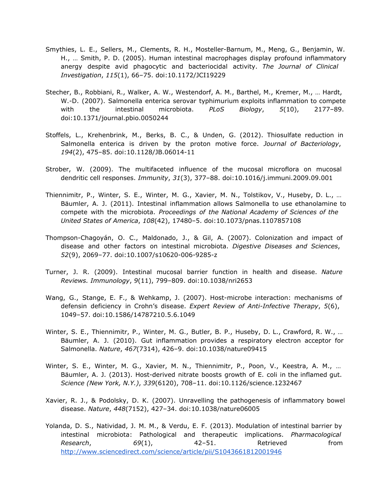- Smythies, L. E., Sellers, M., Clements, R. H., Mosteller-Barnum, M., Meng, G., Benjamin, W. H., … Smith, P. D. (2005). Human intestinal macrophages display profound inflammatory anergy despite avid phagocytic and bacteriocidal activity. *The Journal of Clinical Investigation*, *115*(1), 66–75. doi:10.1172/JCI19229
- Stecher, B., Robbiani, R., Walker, A. W., Westendorf, A. M., Barthel, M., Kremer, M., … Hardt, W.-D. (2007). Salmonella enterica serovar typhimurium exploits inflammation to compete with the intestinal microbiota. *PLoS Biology*, *5*(10), 2177–89. doi:10.1371/journal.pbio.0050244
- Stoffels, L., Krehenbrink, M., Berks, B. C., & Unden, G. (2012). Thiosulfate reduction in Salmonella enterica is driven by the proton motive force. *Journal of Bacteriology*, *194*(2), 475–85. doi:10.1128/JB.06014-11
- Strober, W. (2009). The multifaceted influence of the mucosal microflora on mucosal dendritic cell responses. *Immunity*, *31*(3), 377–88. doi:10.1016/j.immuni.2009.09.001
- Thiennimitr, P., Winter, S. E., Winter, M. G., Xavier, M. N., Tolstikov, V., Huseby, D. L., … Bäumler, A. J. (2011). Intestinal inflammation allows Salmonella to use ethanolamine to compete with the microbiota. *Proceedings of the National Academy of Sciences of the United States of America*, *108*(42), 17480–5. doi:10.1073/pnas.1107857108
- Thompson-Chagoyán, O. C., Maldonado, J., & Gil, A. (2007). Colonization and impact of disease and other factors on intestinal microbiota. *Digestive Diseases and Sciences*, *52*(9), 2069–77. doi:10.1007/s10620-006-9285-z
- Turner, J. R. (2009). Intestinal mucosal barrier function in health and disease. *Nature Reviews. Immunology*, *9*(11), 799–809. doi:10.1038/nri2653
- Wang, G., Stange, E. F., & Wehkamp, J. (2007). Host-microbe interaction: mechanisms of defensin deficiency in Crohn's disease. *Expert Review of Anti-Infective Therapy*, *5*(6), 1049–57. doi:10.1586/14787210.5.6.1049
- Winter, S. E., Thiennimitr, P., Winter, M. G., Butler, B. P., Huseby, D. L., Crawford, R. W., … Bäumler, A. J. (2010). Gut inflammation provides a respiratory electron acceptor for Salmonella. *Nature*, *467*(7314), 426–9. doi:10.1038/nature09415
- Winter, S. E., Winter, M. G., Xavier, M. N., Thiennimitr, P., Poon, V., Keestra, A. M., … Bäumler, A. J. (2013). Host-derived nitrate boosts growth of E. coli in the inflamed gut. *Science (New York, N.Y.)*, *339*(6120), 708–11. doi:10.1126/science.1232467
- Xavier, R. J., & Podolsky, D. K. (2007). Unravelling the pathogenesis of inflammatory bowel disease. *Nature*, *448*(7152), 427–34. doi:10.1038/nature06005
- Yolanda, D. S., Natividad, J. M. M., & Verdu, E. F. (2013). Modulation of intestinal barrier by intestinal microbiota: Pathological and therapeutic implications. *Pharmacological Research*, *69*(1), 42–51. Retrieved from [http://www.sciencedirect.com/science/article/pii/S1043661812001946](http://www.google.com/url?q=http%3A%2F%2Fwww.sciencedirect.com%2Fscience%2Farticle%2Fpii%2FS1043661812001946&sa=D&sntz=1&usg=AFQjCNGGyDl5_j4CrOhJ9mYW9EMPYNNLBA)